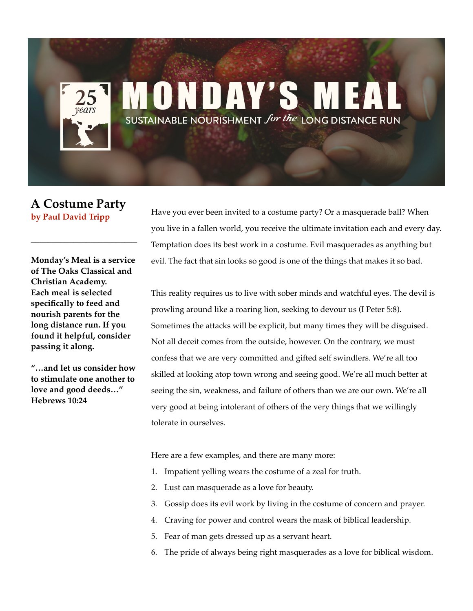## ONDAY'S SUSTAINABLE NOURISHMENT for the LONG DISTANCE RUN

## **A Costume Party by Paul David Tripp**

**\_\_\_\_\_\_\_\_\_\_\_\_\_\_\_\_\_\_\_\_\_\_\_\_\_**

**Monday's Meal is a service of The Oaks Classical and Christian Academy. Each meal is selected specifically to feed and nourish parents for the long distance run. If you found it helpful, consider passing it along.** 

**"…and let us consider how to stimulate one another to love and good deeds…" Hebrews 10:24**

Have you ever been invited to a costume party? Or a masquerade ball? When you live in a fallen world, you receive the ultimate invitation each and every day. Temptation does its best work in a costume. Evil masquerades as anything but evil. The fact that sin looks so good is one of the things that makes it so bad.

This reality requires us to live with sober minds and watchful eyes. The devil is prowling around like a roaring lion, seeking to devour us (I Peter 5:8). Sometimes the attacks will be explicit, but many times they will be disguised. Not all deceit comes from the outside, however. On the contrary, we must confess that we are very committed and gifted self swindlers. We're all too skilled at looking atop town wrong and seeing good. We're all much better at seeing the sin, weakness, and failure of others than we are our own. We're all very good at being intolerant of others of the very things that we willingly tolerate in ourselves.

Here are a few examples, and there are many more:

- 1. Impatient yelling wears the costume of a zeal for truth.
- 2. Lust can masquerade as a love for beauty.
- 3. Gossip does its evil work by living in the costume of concern and prayer.
- 4. Craving for power and control wears the mask of biblical leadership.
- 5. Fear of man gets dressed up as a servant heart.
- 6. The pride of always being right masquerades as a love for biblical wisdom.